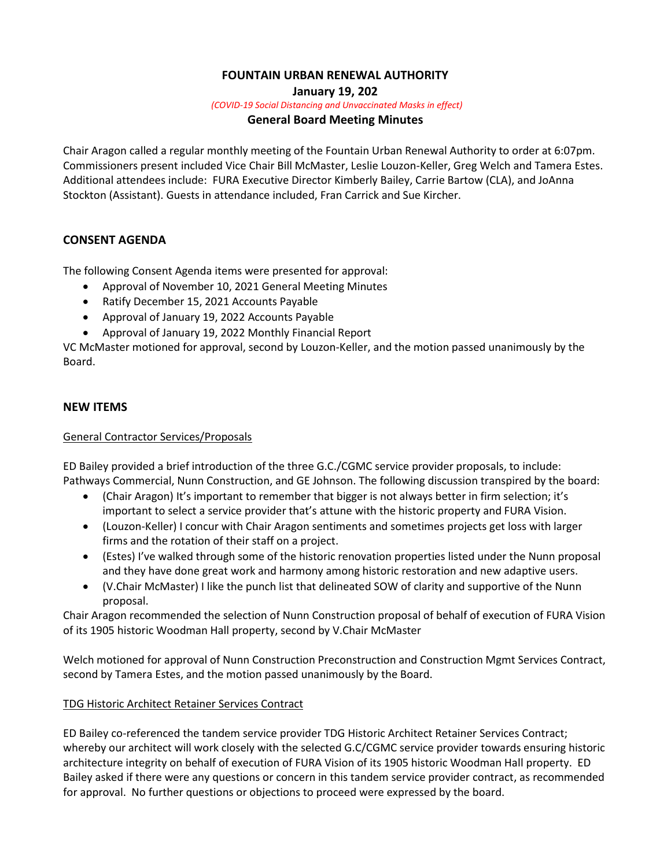# **FOUNTAIN URBAN RENEWAL AUTHORITY**

**January 19, 202**

*(COVID-19 Social Distancing and Unvaccinated Masks in effect)*

## **General Board Meeting Minutes**

Chair Aragon called a regular monthly meeting of the Fountain Urban Renewal Authority to order at 6:07pm. Commissioners present included Vice Chair Bill McMaster, Leslie Louzon-Keller, Greg Welch and Tamera Estes. Additional attendees include: FURA Executive Director Kimberly Bailey, Carrie Bartow (CLA), and JoAnna Stockton (Assistant). Guests in attendance included, Fran Carrick and Sue Kircher.

## **CONSENT AGENDA**

The following Consent Agenda items were presented for approval:

- Approval of November 10, 2021 General Meeting Minutes
- Ratify December 15, 2021 Accounts Payable
- Approval of January 19, 2022 Accounts Payable
- Approval of January 19, 2022 Monthly Financial Report

VC McMaster motioned for approval, second by Louzon-Keller, and the motion passed unanimously by the Board.

# **NEW ITEMS**

### General Contractor Services/Proposals

ED Bailey provided a brief introduction of the three G.C./CGMC service provider proposals, to include: Pathways Commercial, Nunn Construction, and GE Johnson. The following discussion transpired by the board:

- (Chair Aragon) It's important to remember that bigger is not always better in firm selection; it's important to select a service provider that's attune with the historic property and FURA Vision.
- (Louzon-Keller) I concur with Chair Aragon sentiments and sometimes projects get loss with larger firms and the rotation of their staff on a project.
- (Estes) I've walked through some of the historic renovation properties listed under the Nunn proposal and they have done great work and harmony among historic restoration and new adaptive users.
- (V.Chair McMaster) I like the punch list that delineated SOW of clarity and supportive of the Nunn proposal.

Chair Aragon recommended the selection of Nunn Construction proposal of behalf of execution of FURA Vision of its 1905 historic Woodman Hall property, second by V.Chair McMaster

Welch motioned for approval of Nunn Construction Preconstruction and Construction Mgmt Services Contract, second by Tamera Estes, and the motion passed unanimously by the Board.

# TDG Historic Architect Retainer Services Contract

ED Bailey co-referenced the tandem service provider TDG Historic Architect Retainer Services Contract; whereby our architect will work closely with the selected G.C/CGMC service provider towards ensuring historic architecture integrity on behalf of execution of FURA Vision of its 1905 historic Woodman Hall property. ED Bailey asked if there were any questions or concern in this tandem service provider contract, as recommended for approval. No further questions or objections to proceed were expressed by the board.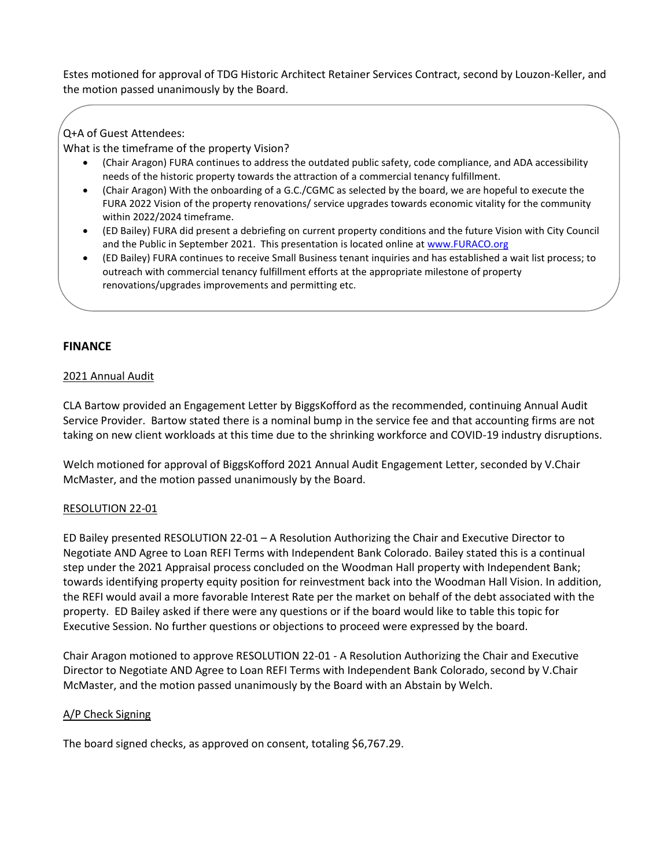Estes motioned for approval of TDG Historic Architect Retainer Services Contract, second by Louzon-Keller, and the motion passed unanimously by the Board.

# Q+A of Guest Attendees:

What is the timeframe of the property Vision?

- (Chair Aragon) FURA continues to address the outdated public safety, code compliance, and ADA accessibility needs of the historic property towards the attraction of a commercial tenancy fulfillment.
- (Chair Aragon) With the onboarding of a G.C./CGMC as selected by the board, we are hopeful to execute the FURA 2022 Vision of the property renovations/ service upgrades towards economic vitality for the community within 2022/2024 timeframe.
- (ED Bailey) FURA did present a debriefing on current property conditions and the future Vision with City Council and the Public in September 2021. This presentation is located online at [www.FURACO.org](http://www.furaco.org/)
- (ED Bailey) FURA continues to receive Small Business tenant inquiries and has established a wait list process; to outreach with commercial tenancy fulfillment efforts at the appropriate milestone of property renovations/upgrades improvements and permitting etc.

# **FINANCE**

## 2021 Annual Audit

CLA Bartow provided an Engagement Letter by BiggsKofford as the recommended, continuing Annual Audit Service Provider. Bartow stated there is a nominal bump in the service fee and that accounting firms are not taking on new client workloads at this time due to the shrinking workforce and COVID-19 industry disruptions.

Welch motioned for approval of BiggsKofford 2021 Annual Audit Engagement Letter, seconded by V.Chair McMaster, and the motion passed unanimously by the Board.

### RESOLUTION 22-01

ED Bailey presented RESOLUTION 22-01 – A Resolution Authorizing the Chair and Executive Director to Negotiate AND Agree to Loan REFI Terms with Independent Bank Colorado. Bailey stated this is a continual step under the 2021 Appraisal process concluded on the Woodman Hall property with Independent Bank; towards identifying property equity position for reinvestment back into the Woodman Hall Vision. In addition, the REFI would avail a more favorable Interest Rate per the market on behalf of the debt associated with the property. ED Bailey asked if there were any questions or if the board would like to table this topic for Executive Session. No further questions or objections to proceed were expressed by the board.

Chair Aragon motioned to approve RESOLUTION 22-01 - A Resolution Authorizing the Chair and Executive Director to Negotiate AND Agree to Loan REFI Terms with Independent Bank Colorado, second by V.Chair McMaster, and the motion passed unanimously by the Board with an Abstain by Welch.

# A/P Check Signing

The board signed checks, as approved on consent, totaling \$6,767.29.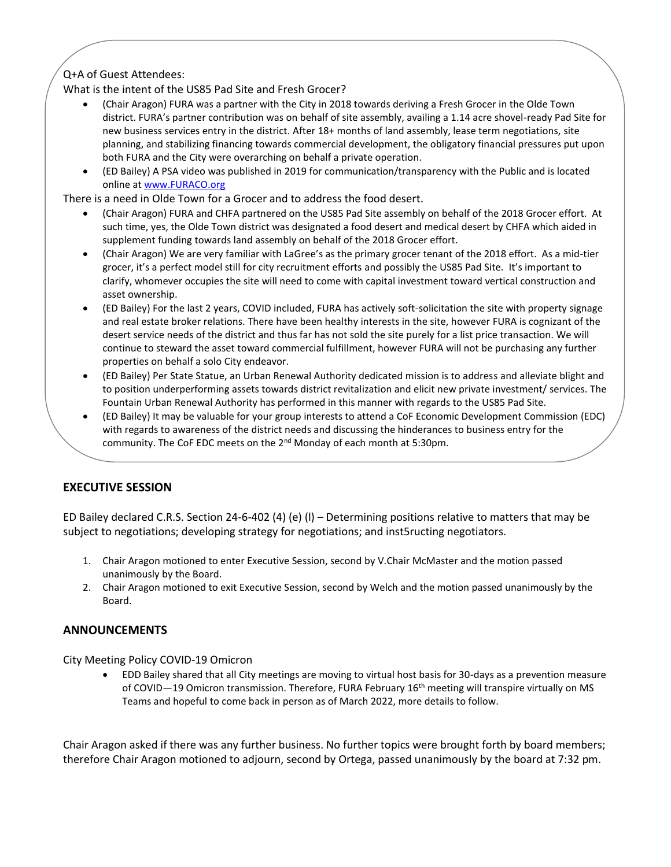# Q+A of Guest Attendees:

What is the intent of the US85 Pad Site and Fresh Grocer?

- (Chair Aragon) FURA was a partner with the City in 2018 towards deriving a Fresh Grocer in the Olde Town district. FURA's partner contribution was on behalf of site assembly, availing a 1.14 acre shovel-ready Pad Site for new business services entry in the district. After 18+ months of land assembly, lease term negotiations, site planning, and stabilizing financing towards commercial development, the obligatory financial pressures put upon both FURA and the City were overarching on behalf a private operation.
- (ED Bailey) A PSA video was published in 2019 for communication/transparency with the Public and is located online a[t www.FURACO.org](http://www.furaco.org/)

There is a need in Olde Town for a Grocer and to address the food desert.

- (Chair Aragon) FURA and CHFA partnered on the US85 Pad Site assembly on behalf of the 2018 Grocer effort. At such time, yes, the Olde Town district was designated a food desert and medical desert by CHFA which aided in supplement funding towards land assembly on behalf of the 2018 Grocer effort.
- (Chair Aragon) We are very familiar with LaGree's as the primary grocer tenant of the 2018 effort. As a mid-tier grocer, it's a perfect model still for city recruitment efforts and possibly the US85 Pad Site. It's important to clarify, whomever occupies the site will need to come with capital investment toward vertical construction and asset ownership.
- (ED Bailey) For the last 2 years, COVID included, FURA has actively soft-solicitation the site with property signage and real estate broker relations. There have been healthy interests in the site, however FURA is cognizant of the desert service needs of the district and thus far has not sold the site purely for a list price transaction. We will continue to steward the asset toward commercial fulfillment, however FURA will not be purchasing any further properties on behalf a solo City endeavor.
- (ED Bailey) Per State Statue, an Urban Renewal Authority dedicated mission is to address and alleviate blight and to position underperforming assets towards district revitalization and elicit new private investment/ services. The Fountain Urban Renewal Authority has performed in this manner with regards to the US85 Pad Site.
- (ED Bailey) It may be valuable for your group interests to attend a CoF Economic Development Commission (EDC) with regards to awareness of the district needs and discussing the hinderances to business entry for the community. The CoF EDC meets on the 2<sup>nd</sup> Monday of each month at 5:30pm.

# **EXECUTIVE SESSION**

ED Bailey declared C.R.S. Section 24-6-402 (4) (e) (l) – Determining positions relative to matters that may be subject to negotiations; developing strategy for negotiations; and inst5ructing negotiators.

- 1. Chair Aragon motioned to enter Executive Session, second by V.Chair McMaster and the motion passed unanimously by the Board.
- 2. Chair Aragon motioned to exit Executive Session, second by Welch and the motion passed unanimously by the Board.

### **ANNOUNCEMENTS**

City Meeting Policy COVID-19 Omicron

 EDD Bailey shared that all City meetings are moving to virtual host basis for 30-days as a prevention measure of COVID—19 Omicron transmission. Therefore, FURA February 16th meeting will transpire virtually on MS Teams and hopeful to come back in person as of March 2022, more details to follow.

Chair Aragon asked if there was any further business. No further topics were brought forth by board members; therefore Chair Aragon motioned to adjourn, second by Ortega, passed unanimously by the board at 7:32 pm.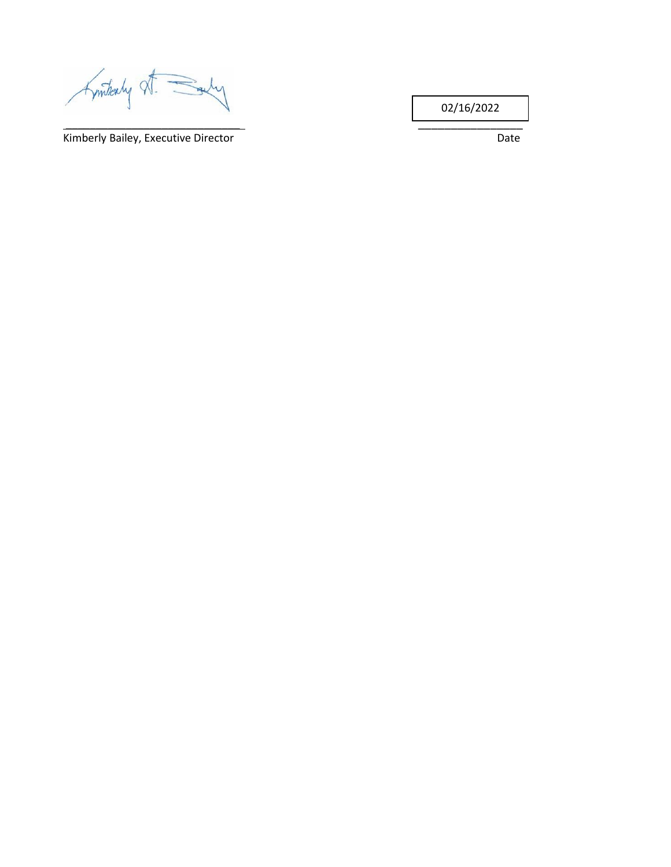Kinthaly X

Kimberly Bailey, Executive Director **National Community Control** Date

\_\_\_\_\_\_\_\_\_\_\_\_\_\_\_\_\_\_\_\_\_\_\_\_\_\_\_\_\_ \_\_\_\_\_\_\_\_\_\_\_\_\_\_\_\_

02/16/2022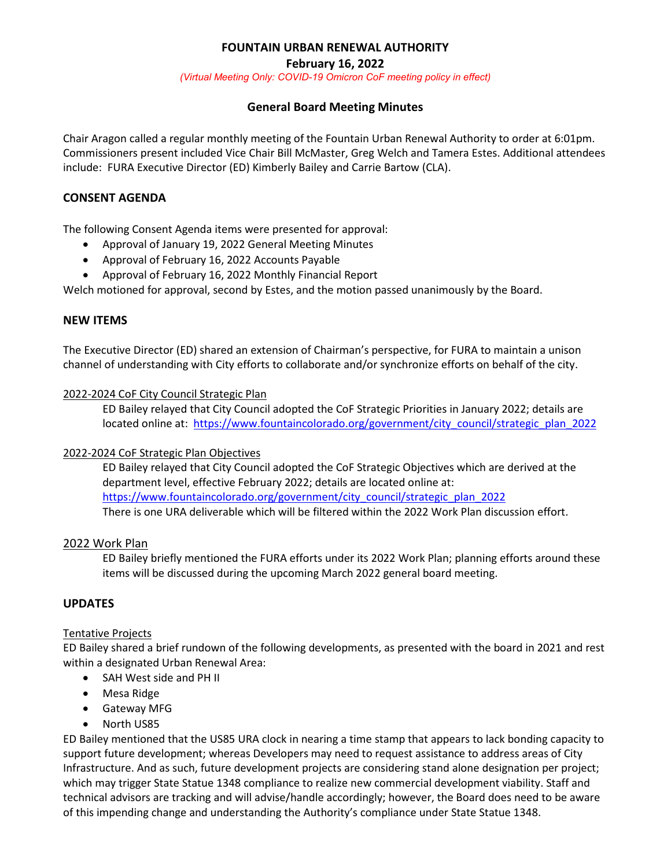# **FOUNTAIN URBAN RENEWAL AUTHORITY**

**February 16, 2022**

*(Virtual Meeting Only: COVID-19 Omicron CoF meeting policy in effect)*

# **General Board Meeting Minutes**

Chair Aragon called a regular monthly meeting of the Fountain Urban Renewal Authority to order at 6:01pm. Commissioners present included Vice Chair Bill McMaster, Greg Welch and Tamera Estes. Additional attendees include: FURA Executive Director (ED) Kimberly Bailey and Carrie Bartow (CLA).

## **CONSENT AGENDA**

The following Consent Agenda items were presented for approval:

- Approval of January 19, 2022 General Meeting Minutes
- Approval of February 16, 2022 Accounts Payable
- Approval of February 16, 2022 Monthly Financial Report

Welch motioned for approval, second by Estes, and the motion passed unanimously by the Board.

## **NEW ITEMS**

The Executive Director (ED) shared an extension of Chairman's perspective, for FURA to maintain a unison channel of understanding with City efforts to collaborate and/or synchronize efforts on behalf of the city.

### 2022-2024 CoF City Council Strategic Plan

ED Bailey relayed that City Council adopted the CoF Strategic Priorities in January 2022; details are located online at: [https://www.fountaincolorado.org/government/city\\_council/strategic\\_plan\\_2022](https://www.fountaincolorado.org/government/city_council/strategic_plan_2022)

### 2022-2024 CoF Strategic Plan Objectives

ED Bailey relayed that City Council adopted the CoF Strategic Objectives which are derived at the department level, effective February 2022; details are located online at: [https://www.fountaincolorado.org/government/city\\_council/strategic\\_plan\\_2022](https://www.fountaincolorado.org/government/city_council/strategic_plan_2022) There is one URA deliverable which will be filtered within the 2022 Work Plan discussion effort.

### 2022 Work Plan

ED Bailey briefly mentioned the FURA efforts under its 2022 Work Plan; planning efforts around these items will be discussed during the upcoming March 2022 general board meeting.

### **UPDATES**

### Tentative Projects

ED Bailey shared a brief rundown of the following developments, as presented with the board in 2021 and rest within a designated Urban Renewal Area:

- SAH West side and PH II
- Mesa Ridge
- Gateway MFG
- North US85

ED Bailey mentioned that the US85 URA clock in nearing a time stamp that appears to lack bonding capacity to support future development; whereas Developers may need to request assistance to address areas of City Infrastructure. And as such, future development projects are considering stand alone designation per project; which may trigger State Statue 1348 compliance to realize new commercial development viability. Staff and technical advisors are tracking and will advise/handle accordingly; however, the Board does need to be aware of this impending change and understanding the Authority's compliance under State Statue 1348.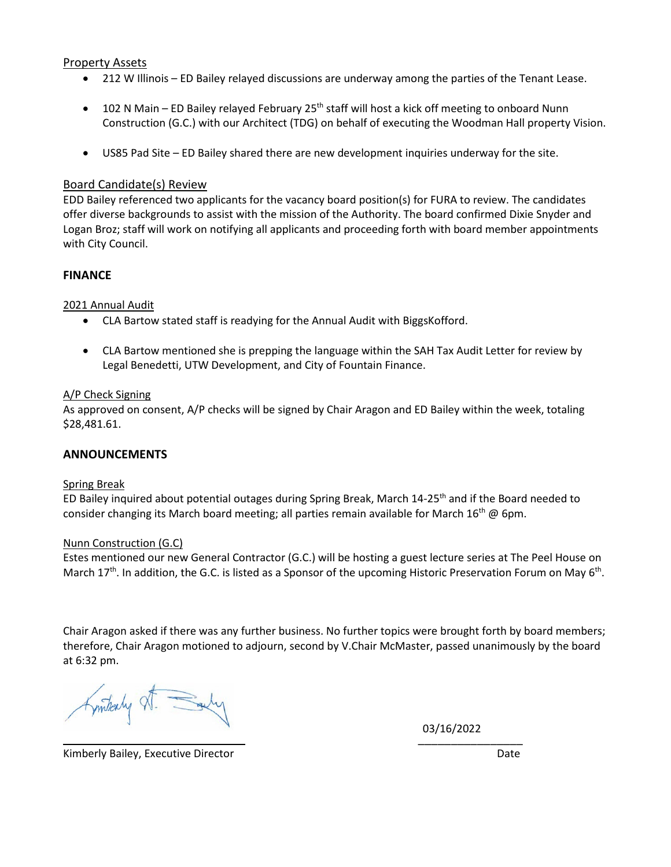### Property Assets

- 212 W Illinois ED Bailey relayed discussions are underway among the parties of the Tenant Lease.
- 102 N Main ED Bailey relayed February 25<sup>th</sup> staff will host a kick off meeting to onboard Nunn Construction (G.C.) with our Architect (TDG) on behalf of executing the Woodman Hall property Vision.
- US85 Pad Site ED Bailey shared there are new development inquiries underway for the site.

#### Board Candidate(s) Review

EDD Bailey referenced two applicants for the vacancy board position(s) for FURA to review. The candidates offer diverse backgrounds to assist with the mission of the Authority. The board confirmed Dixie Snyder and Logan Broz; staff will work on notifying all applicants and proceeding forth with board member appointments with City Council.

#### **FINANCE**

2021 Annual Audit

- CLA Bartow stated staff is readying for the Annual Audit with BiggsKofford.
- CLA Bartow mentioned she is prepping the language within the SAH Tax Audit Letter for review by Legal Benedetti, UTW Development, and City of Fountain Finance.

#### A/P Check Signing

As approved on consent, A/P checks will be signed by Chair Aragon and ED Bailey within the week, totaling \$28,481.61.

#### **ANNOUNCEMENTS**

#### Spring Break

ED Bailey inquired about potential outages during Spring Break, March 14-25<sup>th</sup> and if the Board needed to consider changing its March board meeting; all parties remain available for March 16<sup>th</sup> @ 6pm.

#### Nunn Construction (G.C)

Estes mentioned our new General Contractor (G.C.) will be hosting a guest lecture series at The Peel House on March  $17<sup>th</sup>$ . In addition, the G.C. is listed as a Sponsor of the upcoming Historic Preservation Forum on May 6<sup>th</sup>.

Chair Aragon asked if there was any further business. No further topics were brought forth by board members; therefore, Chair Aragon motioned to adjourn, second by V.Chair McMaster, passed unanimously by the board at 6:32 pm.

mitealy St. Suly

 $\overline{\phantom{a}}$  , and the contract of the contract of the contract of the contract of the contract of the contract of the contract of the contract of the contract of the contract of the contract of the contract of the contrac 03/16/2022

Kimberly Bailey, Executive Director **Date and Contact Contact Contact Contact Contact Contact Contact Contact Contact Contact Contact Contact Contact Contact Contact Contact Contact Contact Contact Contact Contact Contact**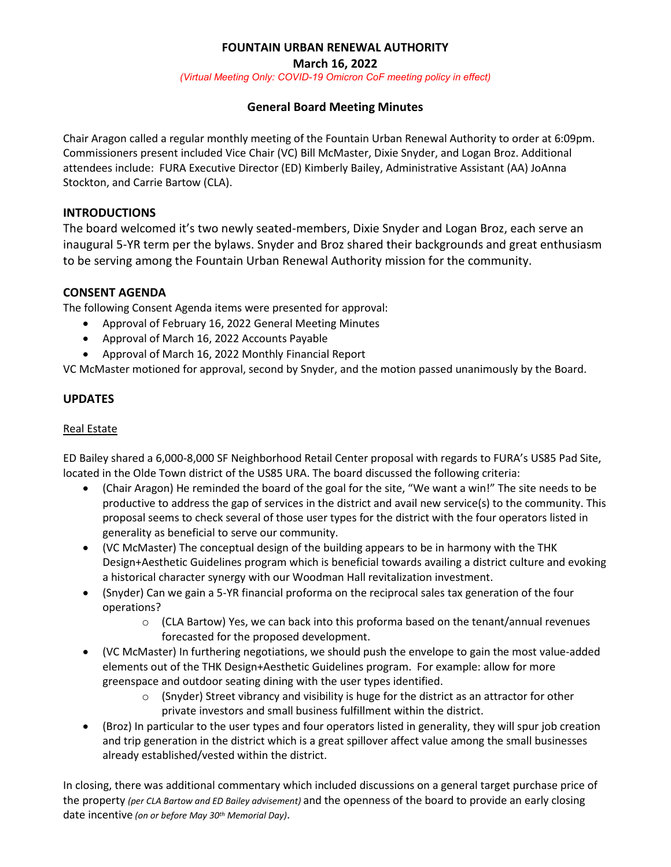# **FOUNTAIN URBAN RENEWAL AUTHORITY**

**March 16, 2022**

*(Virtual Meeting Only: COVID-19 Omicron CoF meeting policy in effect)*

# **General Board Meeting Minutes**

Chair Aragon called a regular monthly meeting of the Fountain Urban Renewal Authority to order at 6:09pm. Commissioners present included Vice Chair (VC) Bill McMaster, Dixie Snyder, and Logan Broz. Additional attendees include: FURA Executive Director (ED) Kimberly Bailey, Administrative Assistant (AA) JoAnna Stockton, and Carrie Bartow (CLA).

# **INTRODUCTIONS**

The board welcomed it's two newly seated-members, Dixie Snyder and Logan Broz, each serve an inaugural 5-YR term per the bylaws. Snyder and Broz shared their backgrounds and great enthusiasm to be serving among the Fountain Urban Renewal Authority mission for the community.

# **CONSENT AGENDA**

The following Consent Agenda items were presented for approval:

- Approval of February 16, 2022 General Meeting Minutes
- Approval of March 16, 2022 Accounts Payable
- Approval of March 16, 2022 Monthly Financial Report

VC McMaster motioned for approval, second by Snyder, and the motion passed unanimously by the Board.

# **UPDATES**

## Real Estate

ED Bailey shared a 6,000-8,000 SF Neighborhood Retail Center proposal with regards to FURA's US85 Pad Site, located in the Olde Town district of the US85 URA. The board discussed the following criteria:

- (Chair Aragon) He reminded the board of the goal for the site, "We want a win!" The site needs to be productive to address the gap of services in the district and avail new service(s) to the community. This proposal seems to check several of those user types for the district with the four operators listed in generality as beneficial to serve our community.
- (VC McMaster) The conceptual design of the building appears to be in harmony with the THK Design+Aesthetic Guidelines program which is beneficial towards availing a district culture and evoking a historical character synergy with our Woodman Hall revitalization investment.
- (Snyder) Can we gain a 5-YR financial proforma on the reciprocal sales tax generation of the four operations?
	- $\circ$  (CLA Bartow) Yes, we can back into this proforma based on the tenant/annual revenues forecasted for the proposed development.
- (VC McMaster) In furthering negotiations, we should push the envelope to gain the most value-added elements out of the THK Design+Aesthetic Guidelines program. For example: allow for more greenspace and outdoor seating dining with the user types identified.
	- $\circ$  (Snyder) Street vibrancy and visibility is huge for the district as an attractor for other private investors and small business fulfillment within the district.
- (Broz) In particular to the user types and four operators listed in generality, they will spur job creation and trip generation in the district which is a great spillover affect value among the small businesses already established/vested within the district.

In closing, there was additional commentary which included discussions on a general target purchase price of the property *(per CLA Bartow and ED Bailey advisement)* and the openness of the board to provide an early closing date incentive *(on or before May 30th Memorial Day)*.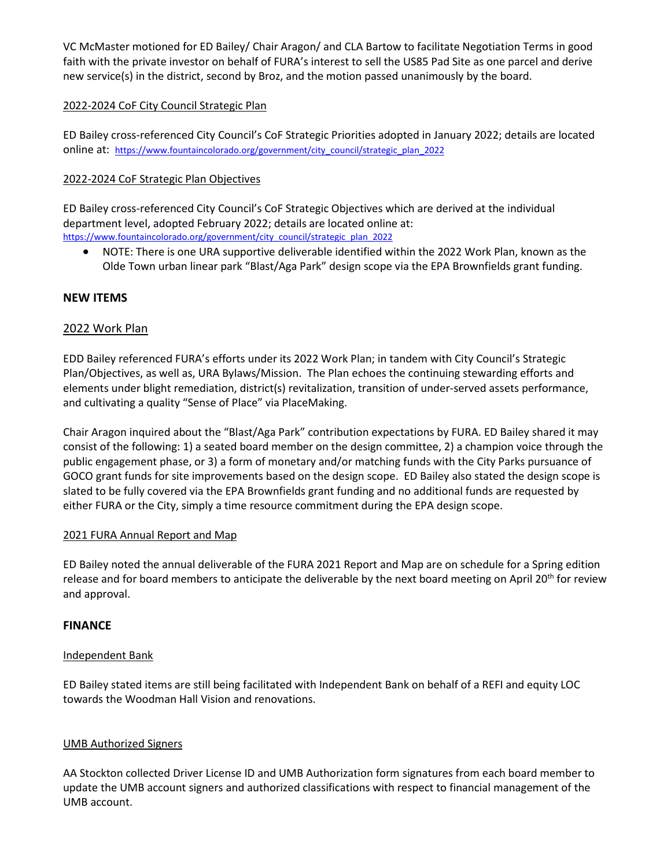VC McMaster motioned for ED Bailey/ Chair Aragon/ and CLA Bartow to facilitate Negotiation Terms in good faith with the private investor on behalf of FURA's interest to sell the US85 Pad Site as one parcel and derive new service(s) in the district, second by Broz, and the motion passed unanimously by the board.

# 2022-2024 CoF City Council Strategic Plan

ED Bailey cross-referenced City Council's CoF Strategic Priorities adopted in January 2022; details are located online at: [https://www.fountaincolorado.org/government/city\\_council/strategic\\_plan\\_2022](https://www.fountaincolorado.org/government/city_council/strategic_plan_2022)

## 2022-2024 CoF Strategic Plan Objectives

ED Bailey cross-referenced City Council's CoF Strategic Objectives which are derived at the individual department level, adopted February 2022; details are located online at: [https://www.fountaincolorado.org/government/city\\_council/strategic\\_plan\\_2022](https://www.fountaincolorado.org/government/city_council/strategic_plan_2022)

• NOTE: There is one URA supportive deliverable identified within the 2022 Work Plan, known as the Olde Town urban linear park "Blast/Aga Park" design scope via the EPA Brownfields grant funding.

## **NEW ITEMS**

## 2022 Work Plan

EDD Bailey referenced FURA's efforts under its 2022 Work Plan; in tandem with City Council's Strategic Plan/Objectives, as well as, URA Bylaws/Mission. The Plan echoes the continuing stewarding efforts and elements under blight remediation, district(s) revitalization, transition of under-served assets performance, and cultivating a quality "Sense of Place" via PlaceMaking.

Chair Aragon inquired about the "Blast/Aga Park" contribution expectations by FURA. ED Bailey shared it may consist of the following: 1) a seated board member on the design committee, 2) a champion voice through the public engagement phase, or 3) a form of monetary and/or matching funds with the City Parks pursuance of GOCO grant funds for site improvements based on the design scope. ED Bailey also stated the design scope is slated to be fully covered via the EPA Brownfields grant funding and no additional funds are requested by either FURA or the City, simply a time resource commitment during the EPA design scope.

### 2021 FURA Annual Report and Map

ED Bailey noted the annual deliverable of the FURA 2021 Report and Map are on schedule for a Spring edition release and for board members to anticipate the deliverable by the next board meeting on April 20<sup>th</sup> for review and approval.

### **FINANCE**

### Independent Bank

ED Bailey stated items are still being facilitated with Independent Bank on behalf of a REFI and equity LOC towards the Woodman Hall Vision and renovations.

### UMB Authorized Signers

AA Stockton collected Driver License ID and UMB Authorization form signatures from each board member to update the UMB account signers and authorized classifications with respect to financial management of the UMB account.